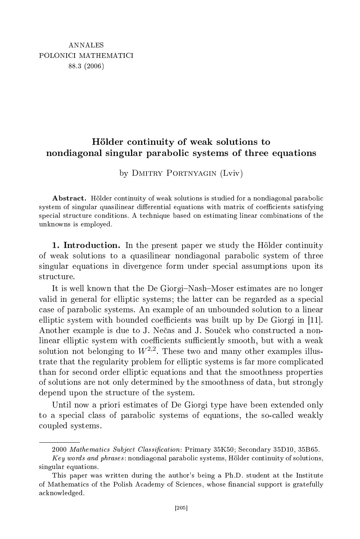# ontinuity of weak solutions to the solutions to the solutions to the solutions to the solutions to the solutions of  $\mathcal{U}$ nondiagonal singular paraboli systems of three equations

by DMITRY PORTNYAGIN (Lviv)

Abstract. Hölder continuity of weak solutions is studied for a nondiagonal parabolic system of singular quasilinear differential equations with matrix of coefficients satisfying special structure conditions. A technique based on estimating linear combinations of the unknowns is employed.

1. Introduction. In the present paper we study the Hölder continuity of weak solutions to a quasilinear nondiagonal parabolic system of three singular equations in divergen
e form under spe
ial assumptions upon its structure.

It is well known that the De Giorgi-Nash-Moser estimates are no longer valid in general for elliptic systems; the latter can be regarded as a special case of parabolic systems. An example of an unbounded solution to a linear elliptic system with bounded coefficients was built up by De Giorgi in  $[11]$ . Another example is due to J. Nečas and J. Souček who constructed a nonlinear elliptic system with coefficients sufficiently smooth, but with a weak solution not belonging to  $W^{2,2}$ . These two and many other examples illustrate that the regularity problem for elliptic systems is far more complicated than for se
ond order ellipti equations and that the smoothness properties of solutions are not only determined by the smoothness of data, but strongly depend upon the stru
ture of the system.

Until now a priori estimates of De Giorgi type have been extended only to a special class of parabolic systems of equations, the so-called weakly oupled systems.

<sup>2000</sup> Mathematics Subject Classification: Primary 35K50; Secondary 35D10, 35B65.

 $Key words and phrases: nondiagonal parabolic systems, Hölder continuity of solutions,$ singular equations.

This paper was written during the author's being a Ph.D. student at the Institute of Mathemati
s of the Polish A
ademy of S
ien
es, whose nan
ial support is gratefully a
knowledged.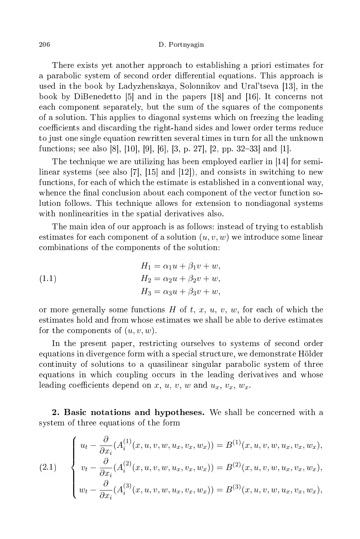There exists yet another approa
h to establishing a priori estimates for a parabolic system of second order differential equations. This approach is used in the book by Ladyzhenskaya, Solonnikov and Ural'tseva  $[13]$ , in the book by DiBenedetto [5] and in the papers [18] and [16]. It concerns not ea
h omponent separately, but the sum of the squares of the omponents of a solution. This applies to diagonal systems whi
h on freezing the leading coefficients and discarding the right-hand sides and lower order terms reduce to just one single equation rewritten several times in turn for all the unknown functions; see also [8], [10], [9], [6], [3, p. 27], [2, pp. 32–33] and [1].

The technique we are utilizing has been employed earlier in [14] for semilinear systems (see also [7],  $[15]$  and  $[12]$ ), and consists in switching to new functions, for each of which the estimate is established in a conventional way, whence the final conclusion about each component of the vector function solution follows. This te
hnique allows for extension to nondiagonal systems with nonlinearities in the spatial derivatives also.

The main idea of our approach is as follows: instead of trying to establish estimates for each component of a solution  $(u, v, w)$  we introduce some linear ombinations of the omponents of the solution:

(1.1) 
$$
H_1 = \alpha_1 u + \beta_1 v + w,
$$

$$
H_2 = \alpha_2 u + \beta_2 v + w,
$$

$$
H_3 = \alpha_3 u + \beta_3 v + w,
$$

or more generally some functions  $H$  of  $t, x, u, v, w$ , for each of which the estimates hold and from whose estimates we shall be able to derive estimates for the components of  $(u, v, w)$ .

In the present paper, restricting ourselves to systems of second order equations in divergence form with a special structure, we demonstrate Hölder continuity of solutions to a quasilinear singular parabolic system of three equations in which coupling occurs in the leading derivatives and whose leading coefficients depend on x, u, v, w and  $u_x$ ,  $v_x$ ,  $w_x$ .

2. Basic notations and hypotheses. We shall be concerned with a system of three equations of the form

(2.1) 
$$
\begin{cases} u_t - \frac{\partial}{\partial x_i} (A_i^{(1)}(x, u, v, w, u_x, v_x, w_x)) = B^{(1)}(x, u, v, w, u_x, v_x, w_x), \\ v_t - \frac{\partial}{\partial x_i} (A_i^{(2)}(x, u, v, w, u_x, v_x, w_x)) = B^{(2)}(x, u, v, w, u_x, v_x, w_x), \\ w_t - \frac{\partial}{\partial x_i} (A_i^{(3)}(x, u, v, w, u_x, v_x, w_x)) = B^{(3)}(x, u, v, w, u_x, v_x, w_x), \end{cases}
$$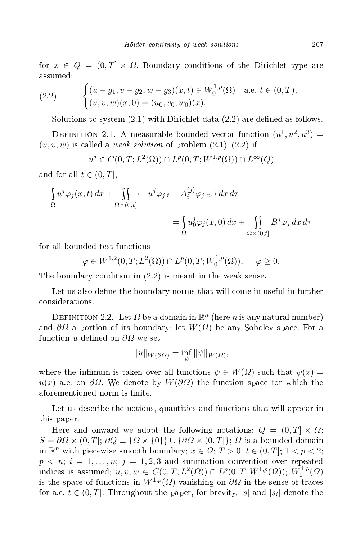for  $x \in Q = (0,T] \times \Omega$ . Boundary conditions of the Dirichlet type are  $_{\rm assumed:}$ 

(2.2) 
$$
\begin{cases} (u - g_1, v - g_2, w - g_3)(x, t) \in W_0^{1, p}(\Omega) & \text{a.e. } t \in (0, T), \\ (u, v, w)(x, 0) = (u_0, v_0, w_0)(x). \end{cases}
$$

Solutions to system  $(2.1)$  with Dirichlet data  $(2.2)$  are defined as follows.

DEFINITION 2.1. A measurable bounded vector function  $(u^1, u^2, u^3) =$  $(u, v, w)$  is called a *weak solution* of problem  $(2.1)$ – $(2.2)$  if

$$
u^j \in C(0,T;L^2(\Omega)) \cap L^p(0,T;W^{1,p}(\Omega)) \cap L^\infty(Q)
$$

and for all  $t \in (0, T]$ ,

$$
\int_{\Omega} u^{j} \varphi_{j}(x, t) dx + \int_{\Omega \times (0, t]} \{-u^{j} \varphi_{j}{}_{t} + A_{i}^{(j)} \varphi_{j}{}_{x_{i}}\} dx d\tau\n\n= \int_{\Omega} u_{0}^{j} \varphi_{j}(x, 0) dx + \int_{\Omega \times (0, t]} B^{j} \varphi_{j} dx d\tau
$$

for all bounded test functions

$$
\varphi \in W^{1,2}(0,T;L^2(\Omega)) \cap L^p(0,T;W_0^{1,p}(\Omega)), \quad \varphi \ge 0.
$$

The boundary condition in  $(2.2)$  is meant in the weak sense.

Let us also define the boundary norms that will come in useful in further considerations.

DEFINITION 2.2. Let  $\Omega$  be a domain in  $\mathbb{R}^n$  (here  $n$  is any natural number) and  $\partial\Omega$  a portion of its boundary; let  $W(\Omega)$  be any Sobolev space. For a function u defined on  $\partial\Omega$  we set

$$
||u||_{W(\partial\Omega)}=\inf_{\psi}||\psi||_{W(\Omega)},
$$

where the infimum is taken over all functions  $\psi \in W(\Omega)$  such that  $\psi(x) =$  $u(x)$  a.e. on  $\partial\Omega$ . We denote by  $W(\partial\Omega)$  the function space for which the aforementioned norm is finite.

Let us describe the notions, quantities and functions that will appear in this paper.

Here and onward we adopt the following notations:  $Q = (0, T] \times \Omega$ ;  $S = \partial \Omega \times (0,T], \partial Q \equiv \{ \Omega \times \{0\} \} \cup \{ \partial \Omega \times (0,T] \}; \Omega$  is a bounded domain in  $\mathbb{R}^n$  with piecewise smooth boundary;  $x \in \Omega$ ;  $T > 0$ ;  $t \in (0, T]$ ;  $1 < p < 2$ ;  $p \leq n$ ;  $i = 1, \ldots, n$ ;  $j = 1, 2, 3$  and summation convention over repeated indices is assumed;  $u, v, w \in C(0, T; L^2(\Omega)) \cap L^p(0, T; W^{1,p}(\Omega))$ ;  $W_0^{1,p}$  $\binom{1,p}{0}$ is the space of functions in  $W^{1,p}(\Omega)$  vanishing on  $\partial\Omega$  in the sense of traces for a.e.  $t \in (0,T]$ . Throughout the paper, for brevity,  $|s|$  and  $|s_i|$  denote the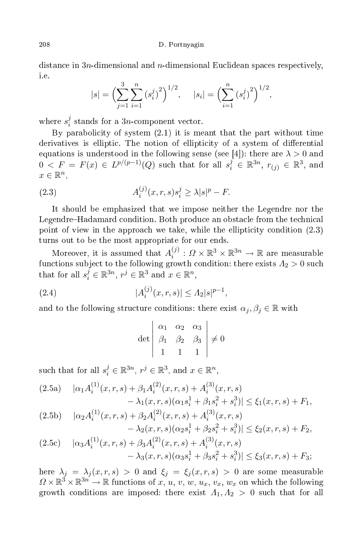distance in  $3n$ -dimensional and  $n$ -dimensional Euclidean spaces respectively, i.e.

$$
|s| = \left(\sum_{j=1}^{3} \sum_{i=1}^{n} (s_i^j)^2\right)^{1/2}, \quad |s_i| = \left(\sum_{i=1}^{n} (s_i^j)^2\right)^{1/2},
$$

where  $s_i^j$  $i$  stands for a 3*n*-component vector.

By parabolicity of system  $(2.1)$  it is meant that the part without time derivatives is elliptic. The notion of ellipticity of a system of differential equations is understood in the following sense (see [4]): there are  $\lambda > 0$  and  $0 \, <\, F \, =\, F(x)\, \in\, L^{p/(p-1)}(Q)$  such that for all  $s_i^j \, \in\, \mathbb{R}^{3n},\; r_{(j)} \, \in\, \mathbb{R}^3,$  and  $x \in \mathbb{R}^n$ ,

(2.3) 
$$
A_i^{(j)}(x, r, s) s_i^j \geq \lambda |s|^p - F.
$$

It should be emphasized that we impose neither the Legendre nor the Legendre–Hadamard condition. Both produce an obstacle from the technical point of view in the approach we take, while the ellipticity condition  $(2.3)$ turns out to be the most appropriate for our ends.

Moreover, it is assumed that  $A_i^{(j)}$  $i_i^{(j)}: \Omega \times \mathbb{R}^3 \times \mathbb{R}^{3n} \to \mathbb{R}$  are measurable functions subject to the following growth condition: there exists  $A_2 > 0$  such that for all  $s_i^j \in \mathbb{R}^{3n}$ ,  $r^j \in \mathbb{R}^3$  and  $x \in \mathbb{R}^n$ ,

(2.4) 
$$
|A_i^{(j)}(x,r,s)| \leq A_2|s|^{p-1},
$$

and to the following structure conditions: there exist  $\alpha_j, \beta_j \in \mathbb{R}$  with

$$
\det \begin{vmatrix} \alpha_1 & \alpha_2 & \alpha_3 \\ \beta_1 & \beta_2 & \beta_3 \\ 1 & 1 & 1 \end{vmatrix} \neq 0
$$

such that for all  $s_i^j \in \mathbb{R}^{3n}$ ,  $r^j \in \mathbb{R}^3$ , and  $x \in \mathbb{R}^n$ ,

$$
(2.5a) \quad |\alpha_1 A_i^{(1)}(x,r,s) + \beta_1 A_i^{(2)}(x,r,s) + A_i^{(3)}(x,r,s) - \lambda_1(x,r,s)(\alpha_1 s_i^1 + \beta_1 s_i^2 + s_i^3)| \le \xi_1(x,r,s) + F_1,
$$

$$
(2.5b) \quad |\alpha_2 A_i^{(1)}(x,r,s) + \beta_2 A_i^{(2)}(x,r,s) + A_i^{(3)}(x,r,s) - \lambda_2(x,r,s)(\alpha_2 s_i^1 + \beta_2 s_i^2 + s_i^3)| \le \xi_2(x,r,s) + F_2,
$$

$$
(2.5c) \quad |\alpha_3 A_i^{(1)}(x,r,s) + \beta_3 A_i^{(2)}(x,r,s) + A_i^{(3)}(x,r,s) - \lambda_3(x,r,s)(\alpha_3 s_i^1 + \beta_3 s_i^2 + s_i^3)| \le \xi_3(x,r,s) + F_3;
$$

here  $\lambda_j = \lambda_j(x, r, s) > 0$  and  $\xi_j = \xi_j(x, r, s) > 0$  are some measurable  $\Omega \times \mathbb{R}^3 \times \mathbb{R}^{3n} \to \mathbb{R}$  functions of x, u, v, w, u<sub>x</sub>, v<sub>x</sub>, w<sub>x</sub> on which the following growth conditions are imposed: there exist  $A_1, A_2 > 0$  such that for all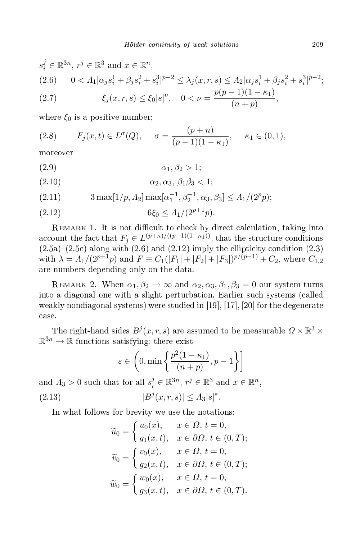$$
s_i^j \in \mathbb{R}^{3n}, r^j \in \mathbb{R}^3 \text{ and } x \in \mathbb{R}^n,
$$
  
(2.6) 
$$
0 < \Lambda_1 |\alpha_j s_i^1 + \beta_j s_i^2 + s_i^3|^{p-2} \le \lambda_j (x, r, s) \le \Lambda_2 |\alpha_j s_i^1 + \beta_j s_i^2 + s_i^3|^{p-2};
$$
  
(2.7) 
$$
\xi_j (x, r, s) \le \xi_0 |s|^{\nu}, \quad 0 < \nu = \frac{p(p-1)(1-\kappa_1)}{(n+p)},
$$

where  $\xi_0$  is a positive number;

(2.8) 
$$
F_j(x,t) \in L^{\sigma}(Q), \quad \sigma = \frac{(p+n)}{(p-1)(1-\kappa_1)}, \quad \kappa_1 \in (0,1),
$$

moreover

$$
\alpha_1, \beta_2 > 1;
$$

- $(\text{2.10})$   $\alpha_2, \alpha_3, \beta_1 \beta_3 < 1;$
- (2.11)  $3 \max[1/p, \Lambda_2] \max[\alpha_1^{-1}, \beta_2^{-1}, \alpha_3, \beta_3] \le \Lambda_1/(2^p p);$

$$
(2.12) \t\t 6\xi_0 \le A_1/(2^{p+1}p).
$$

REMARK 1. It is not difficult to check by direct calculation, taking into account the fact that  $F_j \in L^{(p+n)/((p-1)(1-\kappa_1))}$ , that the structure conditions  $(2.5a)-(2.5c)$  along with  $(2.6)$  and  $(2.12)$  imply the ellipticity condition  $(2.3)$ with  $\lambda = \Lambda_1/(2^{p+1}p)$  and  $F \equiv C_1(|F_1| + |F_2| + |F_3|)^{p/(p-1)} + C_2$ , where  $C_{1,2}$ are numbers depending only on the data.

REMARK 2. When  $\alpha_1, \beta_2 \rightarrow \infty$  and  $\alpha_2, \alpha_3, \beta_1, \beta_3 = 0$  our system turns into a diagonal one with a slight perturbation. Earlier su
h systems (
alled weakly nondiagonal systems) were studied in  $[19], [17], [20]$  for the degenerate

The right-hand sides  $B^j(x,r,s)$  are assumed to be measurable  $\varOmega\times\mathbb{R}^3\times\mathbb{R}^3$  $\mathbb{R}^{3n} \to \mathbb{R}$  functions satisfying: there exist

$$
\varepsilon \in \left(0, \min\left\{\frac{p^2(1-\kappa_1)}{(n+p)}, p-1\right\}\right]
$$

and  $\Lambda_3 > 0$  such that for all  $s_i^j \in \mathbb{R}^{3n}$ ,  $r^j \in \mathbb{R}^3$  and  $x \in \mathbb{R}^n$ ,  $(2.13)$  $\vert j(x,r,s) \vert \leq A_3 \vert s \vert^{\varepsilon}.$ 

In what follows for brevity we use the notations:

$$
\widetilde{u}_0 = \begin{cases}\nu_0(x), & x \in \Omega, t = 0, \\
g_1(x, t), & x \in \partial\Omega, t \in (0, T);\n\end{cases}
$$
\n
$$
\widetilde{v}_0 = \begin{cases}\nv_0(x), & x \in \Omega, t = 0, \\
g_2(x, t), & x \in \partial\Omega, t \in (0, T);\n\end{cases}
$$
\n
$$
\widetilde{w}_0 = \begin{cases}\nw_0(x), & x \in \Omega, t = 0, \\
g_3(x, t), & x \in \partial\Omega, t \in (0, T).\n\end{cases}
$$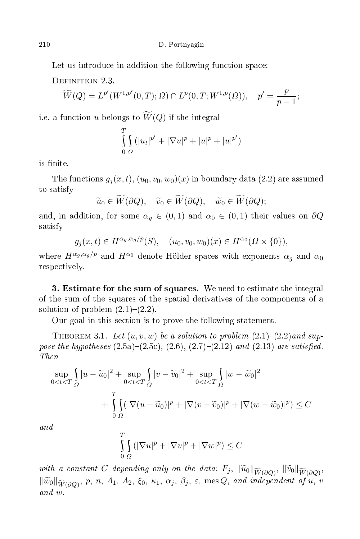Let us introduce in addition the following function space:

DEFINITION 2.3.

$$
\widetilde{W}(Q) = L^{p'}(W^{1,p'}(0,T); \Omega) \cap L^{p}(0,T;W^{1,p}(\Omega)), \quad p' = \frac{p}{p-1};
$$

i.e. a function u belongs to  $\widetilde{W}(Q)$  if the integral

$$
\int_{0}^{T} \int_{\Omega} (|u_t|^{p'} + |\nabla u|^p + |u|^p + |u|^{p'})
$$

is finite.

The functions  $g_j(x,t)$ ,  $(u_0, v_0, w_0)(x)$  in boundary data (2.2) are assumed to satisfy

$$
\widetilde{u}_0 \in \widetilde{W}(\partial Q), \quad \widetilde{v}_0 \in \widetilde{W}(\partial Q), \quad \widetilde{w}_0 \in \widetilde{W}(\partial Q);
$$

and, in addition, for some  $\alpha_g \in (0,1)$  and  $\alpha_0 \in (0,1)$  their values on  $\partial Q$ satisfy

$$
g_j(x,t) \in H^{\alpha_g, \alpha_g/p}(S), \quad (u_0, v_0, w_0)(x) \in H^{\alpha_0}(\overline{\Omega} \times \{0\}),
$$

where  $H^{\alpha_g, \alpha_g/p}$  and  $H^{\alpha_0}$  denote Hölder spaces with exponents  $\alpha_g$  and  $\alpha_0$ respe
tively.

3. Estimate for the sum of squares. We need to estimate the integral of the sum of the squares of the spatial derivatives of the omponents of a solution of problem  $(2.1)-(2.2)$ .

Our goal in this se
tion is to prove the following statement.

THEOREM 3.1. Let  $(u, v, w)$  be a solution to problem  $(2.1)-(2.2)$  and suppose the hypotheses (2.5a)(2.5
), (2.6), (2.7)(2.12) and (2.13) are satised.

$$
\sup_{0 < t < T} \int_{\Omega} |u - \widetilde{u}_0|^2 + \sup_{0 < t < T} \int_{\Omega} |v - \widetilde{v}_0|^2 + \sup_{0 < t < T} \int_{\Omega} |w - \widetilde{w}_0|^2 + \int_{0 < t < T} \int_{\Omega} |v - \widetilde{u}_0|^2 + \int_{0}^{T} \int_{\Omega} (|\nabla (u - \widetilde{u}_0)|^p + |\nabla (v - \widetilde{v}_0)|^p + |\nabla (w - \widetilde{w}_0)|^p) \le C
$$

 $and$ 

$$
\int_{0}^{T} \int_{\Omega} (|\nabla u|^p + |\nabla v|^p + |\nabla w|^p) \leq C
$$

with a constant C depending only on the data:  $F_j$ ,  $\|\widetilde{u}_0\|_{\widetilde{W}(\partial Q)}$ ,  $\|\widetilde{v}_0\|_{\widetilde{W}(\partial Q)}$ ,  $\|\widetilde{w}_0\|_{\widetilde{W}(\partial Q)},$  p, n,  $\Lambda_1$ ,  $\Lambda_2$ ,  $\xi_0$ ,  $\kappa_1$ ,  $\alpha_j$ ,  $\beta_j$ ,  $\varepsilon$ , mes  $Q$ , and independent of u, v and w.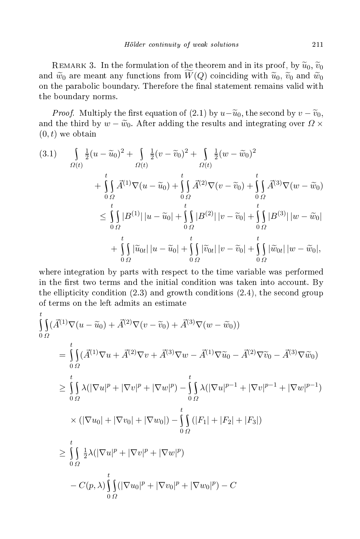REMARK 3. In the formulation of the theorem and in its proof, by  $\widetilde{u}_0$ ,  $\widetilde{v}_0$ and  $\tilde{w}_0$  are meant any functions from  $W(Q)$  coinciding with  $\tilde{u}_0$ ,  $\tilde{v}_0$  and  $\tilde{w}_0$ on the parabolic boundary. Therefore the final statement remains valid with the boundary norms.

*Proof.* Multiply the first equation of (2.1) by  $u-\widetilde{u}_0$ , the second by  $v-\widetilde{v}_0$ , the third by  $w-\widetilde{w}_0$ . and the third by  $w - \widetilde{w}_0$ . After adding the results and integrating over  $\Omega \times$  $(0, t)$  we obtain

$$
(3.1) \qquad \int_{\Omega(t)} \frac{1}{2} (u - \widetilde{u}_0)^2 + \int_{\Omega(t)} \frac{1}{2} (v - \widetilde{v}_0)^2 + \int_{\Omega(t)} \frac{1}{2} (w - \widetilde{w}_0)^2 + \int_{\Omega(t)} \vec{A}^{(1)} \nabla (u - \widetilde{u}_0) + \int_{0}^t \vec{A}^{(2)} \nabla (v - \widetilde{v}_0) + \int_{0}^t \vec{A}^{(3)} \nabla (w - \widetilde{w}_0) \n\leq \int_{0}^t |B^{(1)}| |u - \widetilde{u}_0| + \int_{0}^t |B^{(2)}| |v - \widetilde{v}_0| + \int_{0}^t |B^{(3)}| |w - \widetilde{w}_0| + \int_{0}^t |\widetilde{u}_0_t| |u - \widetilde{u}_0| + \int_{0}^t |\widetilde{v}_0_t| |v - \widetilde{v}_0| + \int_{0}^t |\widetilde{w}_0_t| |w - \widetilde{w}_0|,
$$

where integration by parts with respe
t to the time variable was performed in the first two terms and the initial condition was taken into account. By the ellipticity condition  $(2.3)$  and growth conditions  $(2.4)$ , the second group of terms on the left admits an estimate

$$
\int_{0}^{t} \int_{\Omega} (\vec{A}^{(1)} \nabla (u - \tilde{u}_{0}) + \vec{A}^{(2)} \nabla (v - \tilde{v}_{0}) + \vec{A}^{(3)} \nabla (w - \tilde{w}_{0}))
$$
\n
$$
= \int_{0}^{t} (\vec{A}^{(1)} \nabla u + \vec{A}^{(2)} \nabla v + \vec{A}^{(3)} \nabla w - \vec{A}^{(1)} \nabla \tilde{u}_{0} - \vec{A}^{(2)} \nabla \tilde{v}_{0} - \vec{A}^{(3)} \nabla \tilde{w}_{0})
$$
\n
$$
\geq \int_{0}^{t} \lambda (|\nabla u|^{p} + |\nabla v|^{p} + |\nabla w|^{p}) - \int_{0}^{t} \lambda (|\nabla u|^{p-1} + |\nabla v|^{p-1} + |\nabla w|^{p-1})
$$
\n
$$
\times (|\nabla u_{0}| + |\nabla v_{0}| + |\nabla w_{0}|) - \int_{0}^{t} (|F_{1}| + |F_{2}| + |F_{3}|)
$$
\n
$$
\geq \int_{0}^{t} \frac{1}{2} \lambda (|\nabla u|^{p} + |\nabla v|^{p} + |\nabla w|^{p})
$$
\n
$$
- C(p, \lambda) \int_{0}^{t} \int_{\Omega} (|\nabla u_{0}|^{p} + |\nabla v_{0}|^{p} + |\nabla w_{0}|^{p}) - C
$$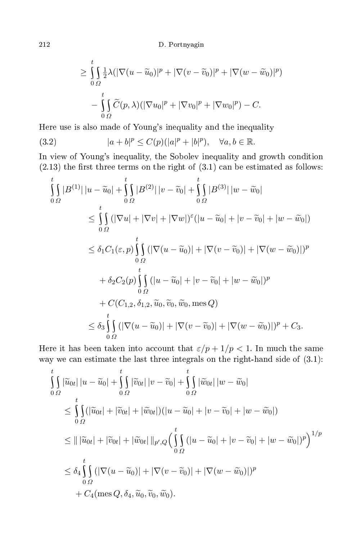$$
\geq \int_{0}^{t} \int_{\Omega} \frac{1}{2} \lambda (|\nabla(u - \widetilde{u}_0)|^p + |\nabla(v - \widetilde{v}_0)|^p + |\nabla(w - \widetilde{w}_0)|^p)
$$

$$
- \int_{0}^{t} \int_{\Omega} \widetilde{C}(p, \lambda) (|\nabla u_0|^p + |\nabla v_0|^p + |\nabla w_0|^p) - C.
$$

Here use is also made of Young's inequality and the inequality

(3.2) 
$$
|a+b|^p \le C(p)(|a|^p+|b|^p), \quad \forall a, b \in \mathbb{R}.
$$

In view of Young's inequality, the Sobolev inequality and growth ondition  $(2.13)$  the first three terms on the right of  $(3.1)$  can be estimated as follows:

$$
\int_{0}^{t} |B^{(1)}| |u - \widetilde{u}_0| + \int_{0}^{t} |B^{(2)}| |v - \widetilde{v}_0| + \int_{0}^{t} |B^{(3)}| |w - \widetilde{w}_0|
$$
\n
$$
\leq \int_{0}^{t} (|\nabla u| + |\nabla v| + |\nabla w|)^{\varepsilon} (|u - \widetilde{u}_0| + |v - \widetilde{v}_0| + |w - \widetilde{w}_0|)
$$
\n
$$
\leq \delta_1 C_1(\varepsilon, p) \int_{0}^{t} (|\nabla (u - \widetilde{u}_0)| + |\nabla (v - \widetilde{v}_0)| + |\nabla (w - \widetilde{w}_0)|)^p
$$
\n
$$
+ \delta_2 C_2(p) \int_{0}^{t} (|u - \widetilde{u}_0| + |v - \widetilde{v}_0| + |w - \widetilde{w}_0|)^p
$$
\n
$$
+ C(C_{1,2}, \delta_{1,2}, \widetilde{u}_0, \widetilde{v}_0, \widetilde{w}_0, \text{mes } Q)
$$
\n
$$
\leq \delta_3 \int_{0}^{t} (|\nabla (u - \widetilde{u}_0)| + |\nabla (v - \widetilde{v}_0)| + |\nabla (w - \widetilde{w}_0)|)^p + C_3.
$$

Here it has been taken into account that  $\varepsilon/p + 1/p < 1$ . In much the same way we can estimate the last three integrals on the right-hand side of  $(3.1)$ :

$$
\int_{0}^{t} \int_{\Omega} |\widetilde{u}_{0t}| |u - \widetilde{u}_{0}| + \int_{0}^{t} \int_{\Omega} |\widetilde{v}_{0t}| |v - \widetilde{v}_{0}| + \int_{0}^{t} \int_{\Omega} |\widetilde{w}_{0t}| |w - \widetilde{w}_{0}|
$$
\n
$$
\leq \int_{0}^{t} \int_{\Omega} (|\widetilde{u}_{0t}| + |\widetilde{v}_{0t}| + |\widetilde{w}_{0t}|) (|u - \widetilde{u}_{0}| + |v - \widetilde{v}_{0}| + |w - \widetilde{w}_{0}|)
$$
\n
$$
\leq || |\widetilde{u}_{0t}| + |\widetilde{v}_{0t}| + |\widetilde{w}_{0t}| ||_{p',Q} \Big( \int_{0}^{t} (|u - \widetilde{u}_{0}| + |v - \widetilde{v}_{0}| + |w - \widetilde{w}_{0}|)^{p} \Big)^{1/p}
$$
\n
$$
\leq \delta_{4} \int_{0}^{t} (|\nabla(u - \widetilde{u}_{0})| + |\nabla(v - \widetilde{v}_{0})| + |\nabla(w - \widetilde{w}_{0})|)^{p}
$$
\n
$$
+ C_{4}(\text{mes } Q, \delta_{4}, \widetilde{u}_{0}, \widetilde{v}_{0}, \widetilde{w}_{0}).
$$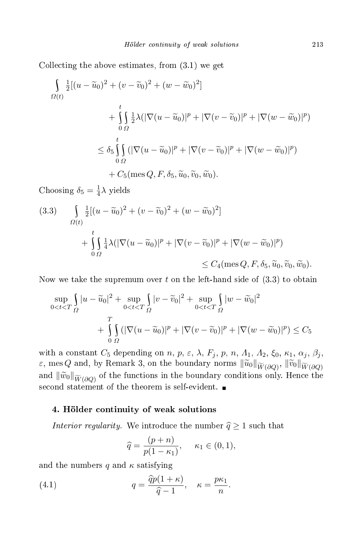Colle
ting the above estimates, from (3.1) we get

$$
\int_{\Omega(t)} \frac{1}{2} [(u - \widetilde{u}_0)^2 + (v - \widetilde{v}_0)^2 + (w - \widetilde{w}_0)^2]
$$
\n
$$
+ \int_{0}^{t} \frac{1}{2} \lambda (|\nabla(u - \widetilde{u}_0)|^p + |\nabla(v - \widetilde{v}_0)|^p + |\nabla(w - \widetilde{w}_0)|^p)
$$
\n
$$
\leq \delta_5 \int_{0}^{t} (|\nabla(u - \widetilde{u}_0)|^p + |\nabla(v - \widetilde{v}_0)|^p + |\nabla(w - \widetilde{w}_0)|^p)
$$
\n
$$
+ C_5(\text{mes } Q, F, \delta_5, \widetilde{u}_0, \widetilde{v}_0, \widetilde{w}_0).
$$

Choosing  $\delta_5 = \frac{1}{4}$  $\frac{1}{4}\lambda$  yields

(3.3) 
$$
\int_{\Omega(t)} \frac{1}{2} [(u - \widetilde{u}_0)^2 + (v - \widetilde{v}_0)^2 + (w - \widetilde{w}_0)^2] + \int_{0}^{t} \int_{\Omega} \frac{1}{4} \lambda (|\nabla (u - \widetilde{u}_0)|^p + |\nabla (v - \widetilde{v}_0)|^p + |\nabla (w - \widetilde{w}_0)|^p) \leq C_4 (\text{mes } Q, F, \delta_5, \widetilde{u}_0, \widetilde{v}_0).
$$

Now we take the supremum over t on the left-hand side of  $(3.3)$  to obtain

$$
\sup_{0 < t < T} \int_{\Omega} |u - \widetilde{u}_0|^2 + \sup_{0 < t < T} \int_{\Omega} |v - \widetilde{v}_0|^2 + \sup_{0 < t < T} \int_{\Omega} |w - \widetilde{w}_0|^2 + \int_{0}^{T} \int_{\Omega} (|\nabla(u - \widetilde{u}_0)|^p + |\nabla(v - \widetilde{v}_0)|^p + |\nabla(w - \widetilde{w}_0)|^p) \le C_5
$$

with a constant  $C_5$  depending on  $n, p, \varepsilon, \lambda, F_j, p, n, \Lambda_1, \Lambda_2, \xi_0, \kappa_1, \alpha_j, \beta_j,$  $\varepsilon$ , mes Q and, by Remark 3, on the boundary norms  $\|\widetilde{u}_0\|_{\widetilde{W}(\partial Q)}$ ,  $\|\widetilde{v}_0\|_{\widetilde{W}(\partial Q)}$ and  $\|\widetilde{w}_0\|_{\widetilde{W}(\partial Q)}$  of the functions in the boundary conditions only. Hence the second statement of the theorem is self-evident.  $\blacksquare$ 

### 4. Hölder ontinuity of weak solutions

Interior regularity. We introduce the number  $\widehat{q} \ge 1$  such that

$$
\widehat{q} = \frac{(p+n)}{p(1-\kappa_1)}, \quad \kappa_1 \in (0,1),
$$

and the numbers q and  $\kappa$  satisfying

(4.1) 
$$
q = \frac{\widehat{q}p(1+\kappa)}{\widehat{q}-1}, \quad \kappa = \frac{p\kappa_1}{n}.
$$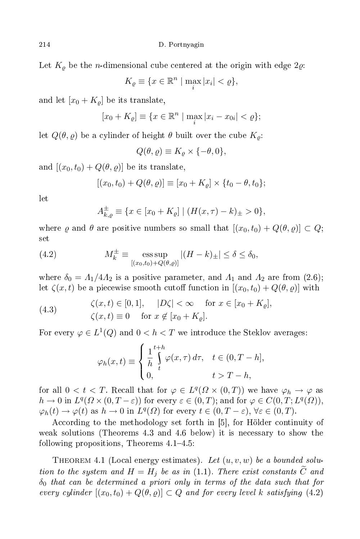Let  $K_{\rho}$  be the *n*-dimensional cube centered at the origin with edge 2 $\varrho$ .

$$
K_{\varrho} \equiv \{ x \in \mathbb{R}^n \mid \max_i |x_i| < \varrho \},
$$

and let  $[x_0 + K_\rho]$  be its translate,

$$
[x_0 + K_{\varrho}] \equiv \{ x \in \mathbb{R}^n \mid \max_i |x_i - x_{0i}| < \varrho \};
$$

let  $Q(\theta, \varrho)$  be a cylinder of height  $\theta$  built over the cube  $K_{\rho}$ :

$$
Q(\theta, \varrho) \equiv K_{\varrho} \times \{-\theta, 0\},\
$$

and  $[(x_0, t_0) + Q(\theta, \varrho)]$  be its translate,

$$
[(x_0, t_0) + Q(\theta, \varrho)] \equiv [x_0 + K_{\varrho}] \times \{t_0 - \theta, t_0\};
$$

$$
A_{k,\varrho}^{\pm} \equiv \{ x \in [x_0 + K_{\varrho}] \mid (H(x,\tau) - k)_{\pm} > 0 \},\
$$

where  $\varrho$  and  $\theta$  are positive numbers so small that  $[(x_0, t_0) + Q(\theta, \varrho)] \subset Q;$ 

(4.2) 
$$
M_k^{\pm} \equiv \underset{[(x_0, t_0) + Q(\theta, \varrho)]}{\text{ess sup}} |(H - k)_{\pm}| \le \delta \le \delta_0,
$$

where  $\delta_0 = A_1/4A_2$  is a positive parameter, and  $A_1$  and  $A_2$  are from (2.6); let  $\zeta(x,t)$  be a piecewise smooth cutoff function in  $[(x_0,t_0) + Q(\theta, \varrho)]$  with

(4.3) 
$$
\zeta(x,t) \in [0,1], \quad |D\zeta| < \infty \quad \text{for } x \in [x_0 + K_{\varrho}], \zeta(x,t) \equiv 0 \quad \text{for } x \notin [x_0 + K_{\varrho}].
$$

For every  $\varphi \in L^1(Q)$  and  $0 < h < T$  we introduce the Steklov averages:

$$
\varphi_h(x,t) \equiv \begin{cases} \frac{1}{h} \int_t^{t+h} \varphi(x,\tau) \, d\tau, & t \in (0,T-h], \\ 0, & t > T-h, \end{cases}
$$

for all  $0 < t < T$ . Recall that for  $\varphi \in L^{q}(\Omega \times (0,T))$  we have  $\varphi_h \to \varphi$  as  $h \to 0$  in  $L^q(\Omega \times (0,T-\varepsilon))$  for every  $\varepsilon \in (0,T)$ ; and for  $\varphi \in C(0,T;L^q(\Omega))$ ,  $\varphi_h(t) \to \varphi(t)$  as  $h \to 0$  in  $L^q(\Omega)$  for every  $t \in (0, T - \varepsilon)$ ,  $\forall \varepsilon \in (0, T)$ .

According to the methodology set forth in [5], for Hölder continuity of weak solutions (Theorems 4.3 and 4.6 below) it is ne
essary to show the following propositions, Theorems  $4.1-4.5$ :

THEOREM 4.1 (Local energy estimates). Let  $(u, v, w)$  be a bounded solution to the system and  $H = H_j$  be as in (1.1). There exist constants C and  $\delta_0$  that can be determined a priori only in terms of the data such that for every cylinder  $[(x_0, t_0) + Q(\theta, \varrho)] \subset Q$  and for every level k satisfying  $(4.2)$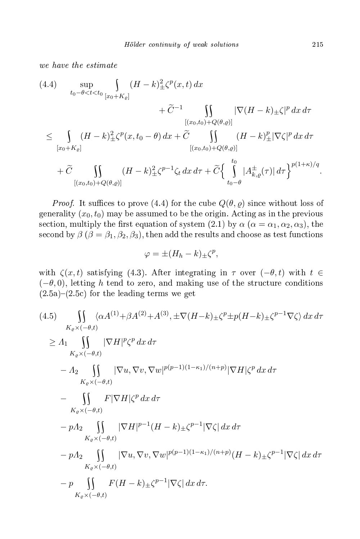$$
(4.4) \quad \sup_{t_0-\theta < t < t_0} \int_{[x_0+K_{\varrho}]} (H-k) \pm \zeta^p(x,t) \, dx + \widetilde{C}^{-1} \int_{[(x_0,t_0)+Q(\theta,\varrho)]} |\nabla (H-k) \pm \zeta|^p \, dx \, d\tau \leq \int_{[x_0+K_{\varrho}]} (H-k) \pm \zeta^p(x,t_0-\theta) \, dx + \widetilde{C} \int_{[(x_0,t_0)+Q(\theta,\varrho)]} (H-k) \pm \int_{[x_0,t_0)+Q(\theta,\varrho)]} (H-k) \pm \widetilde{C} \int_{[(x_0,t_0)+Q(\theta,\varrho)]} t_0 \, d\tau + \widetilde{C} \int_{[(x_0,t_0)+Q(\theta,\varrho)]} (H-k) \pm \zeta^{p-1} \zeta_t \, dx \, d\tau + \widetilde{C} \Big\{ \int_{t_0-\theta}^{t_0} |A \pm_{k,\varrho}(\tau)| \, d\tau \Big\}^{p(1+\kappa)/q}.
$$

*Proof.* It suffices to prove (4.4) for the cube  $Q(\theta, \varrho)$  since without loss of generality  $(x_0, t_0)$  may be assumed to be the origin. Acting as in the previous section, multiply the first equation of system (2.1) by  $\alpha$  ( $\alpha = \alpha_1, \alpha_2, \alpha_3$ ), the second by  $\beta$  ( $\beta = \beta_1, \beta_2, \beta_3$ ), then add the results and choose as test functions

$$
\varphi = \pm (H_h - k)_{\pm} \zeta^p,
$$

with  $\zeta(x,t)$  satisfying (4.3). After integrating in  $\tau$  over  $(-\theta,t)$  with  $t \in$  $(-\theta, 0)$ , letting h tend to zero, and making use of the structure conditions  $(2.5a)-(2.5c)$  for the leading terms we get

$$
(4.5) \iint_{K_{\varrho}\times(-\theta,t)} \langle \alpha A^{(1)} + \beta A^{(2)} + A^{(3)}, \pm \nabla (H-k) \pm \zeta^{p} \pm p(H-k) \pm \zeta^{p-1} \nabla \zeta \rangle \, dx \, d\tau
$$
  
\n
$$
\geq A_1 \iint_{K_{\varrho}\times(-\theta,t)} |\nabla H|^p \zeta^p \, dx \, d\tau
$$
  
\n
$$
- A_2 \iint_{K_{\varrho}\times(-\theta,t)} |\nabla u, \nabla v, \nabla w|^{p(p-1)(1-\kappa_1)/(n+p)} |\nabla H| \zeta^p \, dx \, d\tau
$$
  
\n
$$
- \iint_{K_{\varrho}\times(-\theta,t)} F |\nabla H| \zeta^p \, dx \, d\tau
$$
  
\n
$$
- pA_2 \iint_{K_{\varrho}\times(-\theta,t)} |\nabla u, \nabla v, \nabla w|^{p(p-1)(1-\kappa_1)/(n+p)} (H-k) \pm \zeta^{p-1} |\nabla \zeta| \, dx \, d\tau
$$
  
\n
$$
- p A_2 \iint_{K_{\varrho}\times(-\theta,t)} |\nabla u, \nabla v, \nabla w|^{p(p-1)(1-\kappa_1)/(n+p)} (H-k) \pm \zeta^{p-1} |\nabla \zeta| \, dx \, d\tau
$$
  
\n
$$
- p \iint_{K_{\varrho}\times(-\theta,t)} F(H-k) \pm \zeta^{p-1} |\nabla \zeta| \, dx \, d\tau.
$$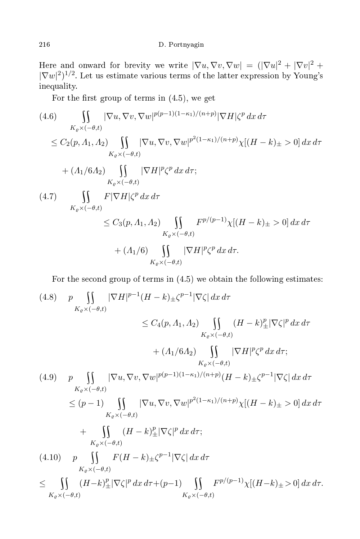Here and onward for brevity we write  $|\nabla u,\nabla v,\nabla w| = (|\nabla u|^2 + |\nabla v|^2 + |\nabla v|^2)$  $|\nabla w|^2$ <sup>1/2</sup>. Let us estimate various terms of the latter expression by Young's inequality.

For the first group of terms in  $(4.5)$ , we get

$$
(4.6) \int_{K_{\varrho} \times (-\theta,t)} |\nabla u, \nabla v, \nabla w|^{p(p-1)(1-\kappa_1)/(n+p)} |\nabla H| \zeta^p dx d\tau
$$
  
\n
$$
\leq C_2(p, \Lambda_1, \Lambda_2) \int_{K_{\varrho} \times (-\theta,t)} |\nabla u, \nabla v, \nabla w|^{p^2(1-\kappa_1)/(n+p)} \chi[(H-k)_\pm > 0] dx d\tau
$$
  
\n
$$
+ (\Lambda_1/6\Lambda_2) \int_{K_{\varrho} \times (-\theta,t)} |\nabla H|^p \zeta^p dx d\tau;
$$
  
\n
$$
(4.7) \int_{K_{\varrho} \times (-\theta,t)} F |\nabla H| \zeta^p dx d\tau
$$
  
\n
$$
\leq C_3(p, \Lambda_1, \Lambda_2) \int_{K_{\varrho} \times (-\theta,t)} F^{p/(p-1)} \chi[(H-k)_\pm > 0] dx d\tau
$$
  
\n
$$
+ (\Lambda_1/6) \int_{K_{\varrho} \times (-\theta,t)} |\nabla H|^p \zeta^p dx d\tau.
$$

For the second group of terms in  $(4.5)$  we obtain the following estimates:

$$
(4.8) \quad p \iint_{K_{\varrho} \times (-\theta,t)} |\nabla H|^{p-1} (H - k) \pm \zeta^{p-1} |\nabla \zeta| \, dx \, d\tau
$$
\n
$$
\leq C_4(p, \Lambda_1, \Lambda_2) \iint_{K_{\varrho} \times (-\theta,t)} (H - k)^p \pm |\nabla \zeta|^p \, dx \, d\tau
$$
\n
$$
+ (\Lambda_1/6\Lambda_2) \iint_{K_{\varrho} \times (-\theta,t)} |\nabla H|^p \zeta^p \, dx \, d\tau;
$$
\n
$$
(4.9) \quad p \iint_{K_{\varrho} \times (-\theta,t)} |\nabla u, \nabla v, \nabla w|^{p(p-1)(1-\kappa_1)/(n+p)} (H - k) \pm \zeta^{p-1} |\nabla \zeta| \, dx \, d\tau
$$
\n
$$
\leq (p-1) \iint_{K_{\varrho} \times (-\theta,t)} |\nabla u, \nabla v, \nabla w|^{p^2(1-\kappa_1)/(n+p)} \chi[(H - k) \pm > 0] \, dx \, d\tau
$$
\n
$$
+ \iint_{K_{\varrho} \times (-\theta,t)} (H - k)^p \pm |\nabla \zeta|^p \, dx \, d\tau;
$$
\n
$$
(4.10) \quad p \iint_{K_{\varrho} \times (-\theta,t)} F(H - k) \pm \zeta^{p-1} |\nabla \zeta| \, dx \, d\tau
$$
\n
$$
\leq \iint_{K_{\varrho} \times (-\theta,t)} (H - k)^p \pm |\nabla \zeta|^p \, dx \, d\tau + (p-1) \iint_{K_{\varrho} \times (-\theta,t)} F^{p/(p-1)} \chi[(H - k) \pm > 0] \, dx \, d\tau.
$$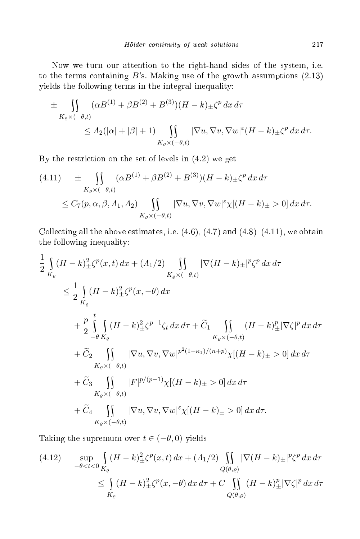Now we turn our attention to the right-hand sides of the system, i.e. to the terms containing  $B$ 's. Making use of the growth assumptions  $(2.13)$ yields the following terms in the integral inequality:

$$
\pm \iint_{K_{\varrho} \times (-\theta,t)} (\alpha B^{(1)} + \beta B^{(2)} + B^{(3)})(H - k) \pm \zeta^p dx d\tau
$$
  
\n
$$
\leq \Lambda_2(|\alpha| + |\beta| + 1) \iint_{K_{\varrho} \times (-\theta,t)} |\nabla u, \nabla v, \nabla w|^{\varepsilon} (H - k) \pm \zeta^p dx d\tau.
$$

By the restriction on the set of levels in  $(4.2)$  we get

$$
(4.11) \pm \iint\limits_{K_{\varrho} \times (-\theta,t)} (\alpha B^{(1)} + \beta B^{(2)} + B^{(3)})(H - k) \pm \zeta^p dx d\tau
$$
  

$$
\leq C_7(p, \alpha, \beta, \Lambda_1, \Lambda_2) \iint\limits_{K_{\varrho} \times (-\theta,t)} |\nabla u, \nabla v, \nabla w|^{\varepsilon} \chi[(H - k) \pm > 0] dx d\tau.
$$

Collecting all the above estimates, i.e.  $(4.6)$ ,  $(4.7)$  and  $(4.8)-(4.11)$ , we obtain the following inequality:

$$
\frac{1}{2} \int_{K_{\varrho}} (H - k)_{\pm}^{2} \zeta^{p}(x, t) dx + (A_{1}/2) \int_{K_{\varrho} \times (-\theta, t)} |\nabla (H - k)_{\pm}|^{p} \zeta^{p} dx d\tau
$$
\n
$$
\leq \frac{1}{2} \int_{K_{\varrho}} (H - k)_{\pm}^{2} \zeta^{p}(x, -\theta) dx
$$
\n
$$
+ \frac{p}{2} \int_{-\theta}^{t} \int_{K_{\varrho}} (H - k)_{\pm}^{2} \zeta^{p-1} \zeta_{t} dx d\tau + \widetilde{C}_{1} \int_{K_{\varrho} \times (-\theta, t)} (H - k)_{\pm}^{p} |\nabla \zeta|^{p} dx d\tau
$$
\n
$$
+ \widetilde{C}_{2} \int_{K_{\varrho} \times (-\theta, t)} |\nabla u, \nabla v, \nabla w|^{p^{2}(1 - \kappa_{1})/(n + p)} \chi[(H - k)_{\pm} > 0] dx d\tau
$$
\n
$$
+ \widetilde{C}_{3} \int_{K_{\varrho} \times (-\theta, t)} |F|^{p/(p-1)} \chi[(H - k)_{\pm} > 0] dx d\tau
$$
\n
$$
+ \widetilde{C}_{4} \int_{K_{\varrho} \times (-\theta, t)} |\nabla u, \nabla v, \nabla w|^{ \varepsilon} \chi[(H - k)_{\pm} > 0] dx d\tau.
$$
\n
$$
K_{\varrho} \times (-\theta, t)
$$

Taking the supremum over  $t \in (-\theta, 0)$  yields

$$
(4.12) \quad \sup_{-\theta < t < 0} \int_{K_{\varrho}} (H - k) \frac{2}{\pm} \zeta^{p}(x, t) \, dx + (A_1/2) \iint_{Q(\theta, \varrho)} |\nabla (H - k) \pm|^{p} \zeta^{p} \, dx \, d\tau
$$
\n
$$
\leq \int_{K_{\varrho}} (H - k) \frac{2}{\pm} \zeta^{p}(x, -\theta) \, dx \, d\tau + C \iint_{Q(\theta, \varrho)} (H - k) \frac{p}{\pm} |\nabla \zeta|^{p} \, dx \, d\tau
$$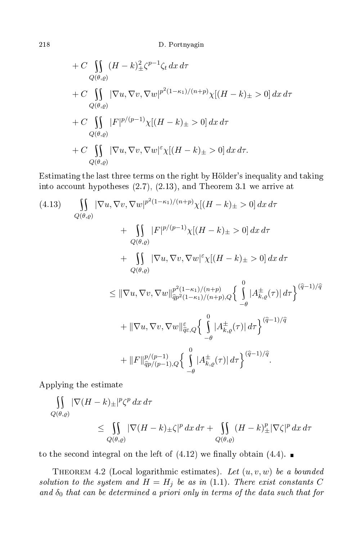+ C 
$$
\iint_{Q(\theta,\varrho)} (H - k) \frac{2}{\pm} \zeta^{p-1} \zeta_t dx d\tau
$$
  
+ C 
$$
\iint_{Q(\theta,\varrho)} |\nabla u, \nabla v, \nabla w|^{p^2(1-\kappa_1)/(n+p)} \chi[(H - k)_\pm > 0] dx d\tau
$$
  
+ C 
$$
\iint_{Q(\theta,\varrho)} |F|^{p/(p-1)} \chi[(H - k)_\pm > 0] dx d\tau
$$
  
+ C 
$$
\iint_{Q(\theta,\varrho)} |\nabla u, \nabla v, \nabla w|^{\varepsilon} \chi[(H - k)_\pm > 0] dx d\tau.
$$
  

$$
Q(\theta,\varrho)
$$

Estimating the last three terms on the right by Hölder's inequality and taking into account hypotheses  $(2.7), (2.13),$  and Theorem 3.1 we arrive at

$$
(4.13) \qquad \iint_{Q(\theta,\varrho)} |\nabla u, \nabla v, \nabla w|^{p^{2}(1-\kappa_{1})/(n+p)} \chi[(H-k)_{\pm} > 0] \, dx \, d\tau + \iint_{Q(\theta,\varrho)} |F|^{p/(p-1)} \chi[(H-k)_{\pm} > 0] \, dx \, d\tau + \iint_{Q(\theta,\varrho)} |\nabla u, \nabla v, \nabla w|^{ \varepsilon} \chi[(H-k)_{\pm} > 0] \, dx \, d\tau 
$$
\leq ||\nabla u, \nabla v, \nabla w||_{\widehat{q}^{p^{2}(1-\kappa_{1})/(n+p)}}^{\varrho^{2}(1-\kappa_{1})/(n+p)} \left\{ \int_{-\theta}^{0} |A_{k,\varrho}^{\pm}(\tau)| \, d\tau \right\}^{(\widehat{q}-1)/\widehat{q}} + \|\nabla u, \nabla v, \nabla w||_{\widehat{q}^{c},Q}^{\varepsilon} \left\{ \int_{-\theta}^{0} |A_{k,\varrho}^{\pm}(\tau)| \, d\tau \right\}^{(\widehat{q}-1)/\widehat{q}} + \|F\|_{\widehat{q}^{p/(p-1)},Q}^{\varrho/(p-1)} \left\{ \int_{-\theta}^{0} |A_{k,\varrho}^{\pm}(\tau)| \, d\tau \right\}^{(\widehat{q}-1)/\widehat{q}}.
$$
$$

Applying the estimate

$$
\iint_{Q(\theta,\varrho)} |\nabla (H - k)_{\pm}|^p \zeta^p \, dx \, d\tau
$$
\n
$$
\leq \iint_{Q(\theta,\varrho)} |\nabla (H - k)_{\pm} \zeta|^p \, dx \, d\tau + \iint_{Q(\theta,\varrho)} (H - k)_{\pm}^p |\nabla \zeta|^p \, dx \, d\tau
$$

to the second integral on the left of  $(4.12)$  we finally obtain  $(4.4)$ .

THEOREM 4.2 (Local logarithmic estimates). Let  $(u, v, w)$  be a bounded solution to the system and  $H = H_j$  be as in (1.1). There exist constants C and  $\delta_0$  that can be determined a priori only in terms of the data such that for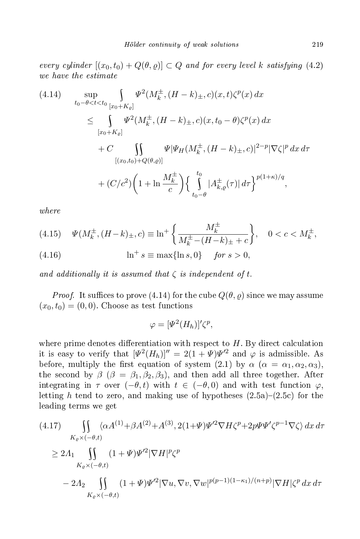every cylinder  $[(x_0, t_0) + Q(\theta, \varrho)] \subset Q$  and for every level k satisfying (4.2)

$$
(4.14) \quad \sup_{t_0-\theta < t < t_0} \int_{[x_0 + K_{\varrho}]} \Psi^2(M_k^{\pm}, (H - k)_{\pm}, c)(x, t) \zeta^p(x) \, dx
$$
\n
$$
\leq \int_{[x_0 + K_{\varrho}]} \Psi^2(M_k^{\pm}, (H - k)_{\pm}, c)(x, t_0 - \theta) \zeta^p(x) \, dx
$$
\n
$$
+ C \int_{[(x_0, t_0) + Q(\theta, \varrho)]} \Psi|\Psi_H(M_k^{\pm}, (H - k)_{\pm}, c)|^{2-p} |\nabla \zeta|^p \, dx \, d\tau
$$
\n
$$
+ (C/c^2) \left(1 + \ln \frac{M_k^{\pm}}{c}\right) \left\{\int_{t_0 - \theta}^{t_0} |A_{k, \varrho}^{\pm}(\tau)| \, d\tau\right\}^{p(1 + \kappa)/q},
$$

 $where$ 

(4.15) 
$$
\Psi(M_k^{\pm}, (H-k)_{\pm}, c) \equiv \ln^+ \left\{ \frac{M_k^{\pm}}{M_k^{\pm} - (H-k)_{\pm} + c} \right\}, \quad 0 < c < M_k^{\pm},
$$

(4.16) 
$$
\ln^+ s \equiv \max\{\ln s, 0\} \quad \text{for } s > 0,
$$

 $\sim$ 

and additionally it is assumed that  $\zeta$  is independent of t.

*Proof.* It suffices to prove (4.14) for the cube  $Q(\theta, \varrho)$  since we may assume  $(x_0, t_0) = (0, 0)$ . Choose as test functions

$$
\varphi = [\Psi^2(H_h)]'\zeta^p,
$$

where prime denotes differentiation with respect to  $H$ . By direct calculation it is easy to verify that  $[\Psi^2(H_h)]'' = 2(1+\Psi)\Psi^{\prime 2}$  and  $\varphi$  is admissible. As before, multiply the first equation of system (2.1) by  $\alpha$  ( $\alpha = \alpha_1, \alpha_2, \alpha_3$ ), the second by  $\beta$  ( $\beta = \beta_1, \beta_2, \beta_3$ ), and then add all three together. After integrating in  $\tau$  over  $(-\theta, t)$  with  $t \in (-\theta, 0)$  and with test function  $\varphi$ , letting h tend to zero, and making use of hypotheses  $(2.5a)-(2.5c)$  for the leading terms we get

$$
(4.17) \qquad \iint_{K_{\varrho} \times (-\theta,t)} \langle \alpha A^{(1)} + \beta A^{(2)} + A^{(3)}, 2(1+\Psi)\Psi^{2}\nabla H \zeta^{p} + 2p\Psi\Psi' \zeta^{p-1}\nabla \zeta \rangle \, dx \, d\tau
$$
  
\n
$$
\geq 2A_{1} \qquad \iint_{K_{\varrho} \times (-\theta,t)} (1+\Psi)\Psi^{2}|\nabla H|^{p}\zeta^{p}
$$
  
\n
$$
-2A_{2} \qquad \iint_{K_{\varrho} \times (-\theta,t)} (1+\Psi)\Psi^{2}|\nabla u, \nabla v, \nabla w|^{p(p-1)(1-\kappa_{1})/(n+p)}|\nabla H| \zeta^{p} \, dx \, d\tau
$$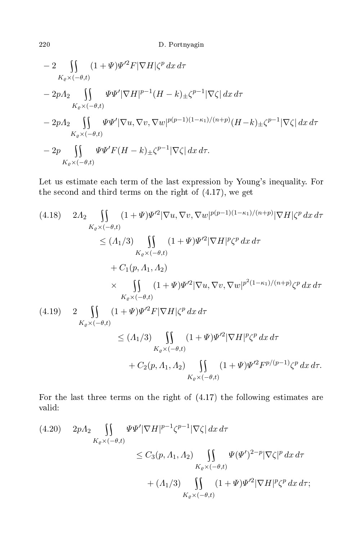$$
- 2 \iint_{K_{\varrho} \times (-\theta,t)} (1 + \Psi) \Psi^{\prime 2} F |\nabla H| \zeta^{p} dx d\tau
$$
  
\n
$$
- 2p\Lambda_{2} \iint_{K_{\varrho} \times (-\theta,t)} \Psi \Psi^{\prime} |\nabla H|^{p-1} (H - k) \pm \zeta^{p-1} |\nabla \zeta| dx d\tau
$$
  
\n
$$
- 2p\Lambda_{2} \iint_{K_{\varrho} \times (-\theta,t)} \Psi \Psi^{\prime} |\nabla u, \nabla v, \nabla w|^{p(p-1)(1-\kappa_{1})/(n+p)} (H - k) \pm \zeta^{p-1} |\nabla \zeta| dx d\tau
$$
  
\n
$$
- 2p \iint_{K_{\varrho} \times (-\theta,t)} \Psi \Psi^{\prime} F(H - k) \pm \zeta^{p-1} |\nabla \zeta| dx d\tau.
$$

Let us estimate each term of the last expression by Young's inequality. For the se
ond and third terms on the right of (4.17), we get

(4.18) 
$$
2A_2 \iint_{K_{\varrho} \times (-\theta, t)} (1 + \Psi) \Psi^{\prime 2} |\nabla u, \nabla v, \nabla w|^{p(p-1)(1-\kappa_1)/(n+p)} |\nabla H| \zeta^p dx d\tau
$$
  
\n
$$
\leq (A_1/3) \iint_{K_{\varrho} \times (-\theta, t)} (1 + \Psi) \Psi^{\prime 2} |\nabla H|^p \zeta^p dx d\tau
$$
  
\n
$$
+ C_1(p, A_1, A_2)
$$
  
\n
$$
\times \iint_{K_{\varrho} \times (-\theta, t)} (1 + \Psi) \Psi^{\prime 2} |\nabla u, \nabla v, \nabla w|^{p^2 (1 - \kappa_1)/(n+p)} \zeta^p dx d\tau
$$
  
\n(4.19) 
$$
2 \iint_{K_{\varrho} \times (-\theta, t)} (1 + \Psi) \Psi^{\prime 2} F |\nabla H| \zeta^p dx d\tau
$$
  
\n
$$
\leq (A_1/3) \iint_{K_{\varrho} \times (-\theta, t)} (1 + \Psi) \Psi^{\prime 2} |\nabla H|^p \zeta^p dx d\tau
$$
  
\n
$$
+ C_2(p, A_1, A_2) \iint_{K_{\varrho} \times (-\theta, t)} (1 + \Psi) \Psi^{\prime 2} F^{p/(p-1)} \zeta^p dx d\tau.
$$

For the last three terms on the right of (4.17) the following estimates are valid:

$$
(4.20) \quad 2pA_2 \iint\limits_{K_{\varrho} \times (-\theta,t)} \Psi \Psi' |\nabla H|^{p-1} \zeta^{p-1} |\nabla \zeta| \, dx \, d\tau
$$
  

$$
\leq C_3(p, A_1, A_2) \iint\limits_{K_{\varrho} \times (-\theta,t)} \Psi (\Psi')^{2-p} |\nabla \zeta|^p \, dx \, d\tau
$$
  

$$
+ (A_1/3) \iint\limits_{K_{\varrho} \times (-\theta,t)} (1 + \Psi) \Psi'^2 |\nabla H|^p \zeta^p \, dx \, d\tau;
$$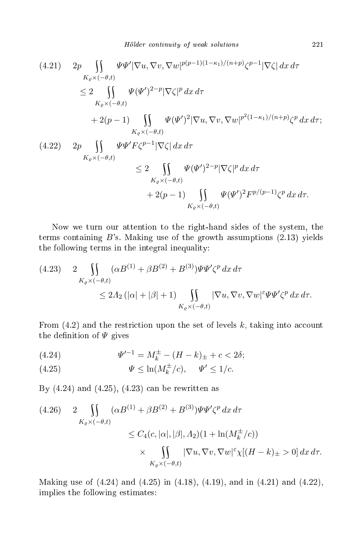$$
(4.21) \quad 2p \iint_{K_{\varrho} \times (-\theta,t)} \Psi \Psi' |\nabla u, \nabla v, \nabla w|^{p(p-1)(1-\kappa_1)/(n+p)} \zeta^{p-1} |\nabla \zeta| \, dx \, d\tau
$$
  
\n
$$
\leq 2 \iint_{K_{\varrho} \times (-\theta,t)} \Psi(\Psi')^{2-p} |\nabla \zeta|^p \, dx \, d\tau
$$
  
\n
$$
+ 2(p-1) \iint_{K_{\varrho} \times (-\theta,t)} \Psi(\Psi')^2 |\nabla u, \nabla v, \nabla w|^{p^2(1-\kappa_1)/(n+p)} \zeta^p \, dx \, d\tau;
$$
  
\n
$$
(4.22) \quad 2p \iint_{K_{\varrho} \times (-\theta,t)} \Psi \Psi' F \zeta^{p-1} |\nabla \zeta| \, dx \, d\tau
$$
  
\n
$$
\leq 2 \iint_{K_{\varrho} \times (-\theta,t)} \Psi(\Psi')^{2-p} |\nabla \zeta|^p \, dx \, d\tau
$$
  
\n
$$
+ 2(p-1) \iint_{K_{\varrho} \times (-\theta,t)} \Psi(\Psi')^2 F^{p/(p-1)} \zeta^p \, dx \, d\tau.
$$

Now we turn our attention to the right-hand sides of the system, the terms containing  $B$ 's. Making use of the growth assumptions  $(2.13)$  yields the following terms in the integral inequality:

$$
(4.23) \quad 2 \iint\limits_{K_{\varrho} \times (-\theta,t)} (\alpha B^{(1)} + \beta B^{(2)} + B^{(3)}) \Psi \Psi' \zeta^p dx d\tau
$$
  

$$
\leq 2A_2 \left( |\alpha| + |\beta| + 1 \right) \iint\limits_{K_{\varrho} \times (-\theta,t)} |\nabla u, \nabla v, \nabla w|^{\varepsilon} \Psi \Psi' \zeta^p dx d\tau.
$$

From  $(4.2)$  and the restriction upon the set of levels k, taking into account the definition of  $\Psi$  gives

(4.24) 
$$
\Psi'^{-1} = M_k^{\pm} - (H - k)_{\pm} + c < 2\delta;
$$

(4.25) 
$$
\Psi \leq \ln(M_k^{\pm}/c), \quad \Psi' \leq 1/c.
$$

By (4.24) and (4.25), (4.23) an be rewritten as

$$
(4.26) \quad 2 \iint\limits_{K_{\varrho} \times (-\theta,t)} (\alpha B^{(1)} + \beta B^{(2)} + B^{(3)}) \Psi \Psi' \zeta^p dx d\tau
$$
  

$$
\leq C_4(c, |\alpha|, |\beta|, \Lambda_2) (1 + \ln(M_k^{\pm}/c))
$$
  

$$
\times \iint\limits_{K_{\varrho} \times (-\theta,t)} |\nabla u, \nabla v, \nabla w|^{\varepsilon} \chi [(H - k)_{\pm} > 0] dx d\tau.
$$

Making use of (4.24) and (4.25) in (4.18), (4.19), and in (4.21) and (4.22), implies the following estimates: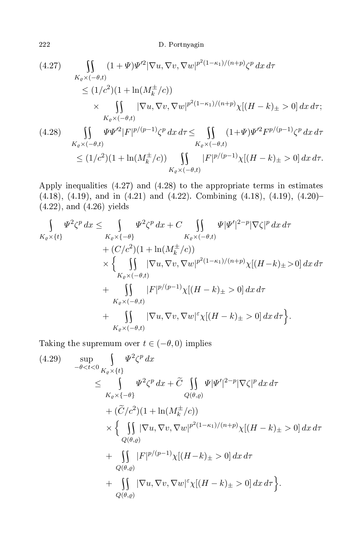(4.27) 
$$
\iint_{K_{\varrho} \times (-\theta,t)} (1 + \Psi) \Psi^{\prime 2} |\nabla u, \nabla v, \nabla w|^{p^2 (1 - \kappa_1)/(n + p)} \zeta^p dx d\tau
$$
  
\n
$$
\leq (1/c^2)(1 + \ln(M_k^{\pm}/c))
$$
  
\n
$$
\times \iint_{K_{\varrho} \times (-\theta,t)} |\nabla u, \nabla v, \nabla w|^{p^2 (1 - \kappa_1)/(n + p)} \chi[(H - k)_{\pm} > 0] dx d\tau;
$$
  
\n(4.28) 
$$
\iint_{K_{\varrho} \times (-\theta,t)} \Psi \Psi^{\prime 2} |F|^{p/(p-1)} \zeta^p dx d\tau \leq \iint_{K_{\varrho} \times (-\theta,t)} (1 + \Psi) \Psi^{\prime 2} F^{p/(p-1)} \zeta^p dx d\tau
$$
  
\n
$$
\leq (1/c^2)(1 + \ln(M_k^{\pm}/c)) \iint_{\mathbb{T}} |F|^{p/(p-1)} \chi[(H - k)_{\pm} > 0] dx d\tau.
$$

Apply inequalities (4.27) and (4.28) to the appropriate terms in estimates  $(4.18)$ ,  $(4.19)$ , and in  $(4.21)$  and  $(4.22)$ . Combining  $(4.18)$ ,  $(4.19)$ ,  $(4.20)$ -(4.22), and (4.26) yields

 $K_{\varrho} \times (-\theta,t)$ 

$$
\int_{K_{\varrho}\times\{t\}} \Psi^{2}\zeta^{p} dx \leq \int_{K_{\varrho}\times\{-\theta\}} \Psi^{2}\zeta^{p} dx + C \int_{K_{\varrho}\times(-\theta,t)} \Psi|\Psi'|^{2-p} |\nabla\zeta|^{p} dx d\tau \n+ (C/c^{2})(1 + \ln(M_{k}^{\pm}/c)) \n\times \left\{ \int_{K_{\varrho}\times(-\theta,t)} |\nabla u, \nabla v, \nabla w|^{p^{2}(1-\kappa_{1})/(n+p)} \chi[(H-k)_{\pm}>0] dx d\tau \n+ \int_{K_{\varrho}\times(-\theta,t)} |F|^{p/(p-1)} \chi[(H-k)_{\pm}>0] dx d\tau \n+ \int_{K_{\varrho}\times(-\theta,t)} |\nabla u, \nabla v, \nabla w|^{2} \chi[(H-k)_{\pm}>0] dx d\tau \right\}.
$$

Taking the supremum over  $t \in (-\theta, 0)$  implies

(4.29) 
$$
\sup_{-\theta < t < 0} \int_{K_{\varrho} \times \{t\}} \Psi^2 \zeta^p \, dx
$$
\n
$$
\leq \int_{K_{\varrho} \times \{-\theta\}} \Psi^2 \zeta^p \, dx + \widetilde{C} \iint_{Q(\theta,\varrho)} \Psi |\Psi'|^{2-p} |\nabla \zeta|^p \, dx \, d\tau
$$
\n
$$
+ (\widetilde{C}/c^2)(1 + \ln(M_k^{\pm}/c))
$$
\n
$$
\times \left\{ \iint_{Q(\theta,\varrho)} |\nabla u, \nabla v, \nabla w|^{p^2(1-\kappa_1)/(n+p)} \chi [(H-k)_{\pm} > 0] \, dx \, d\tau
$$
\n
$$
+ \iint_{Q(\theta,\varrho)} |F|^{p/(p-1)} \chi [(H-k)_{\pm} > 0] \, dx \, d\tau
$$
\n
$$
+ \iint_{Q(\theta,\varrho)} |\nabla u, \nabla v, \nabla w|^{\varepsilon} \chi [(H-k)_{\pm} > 0] \, dx \, d\tau \right\}.
$$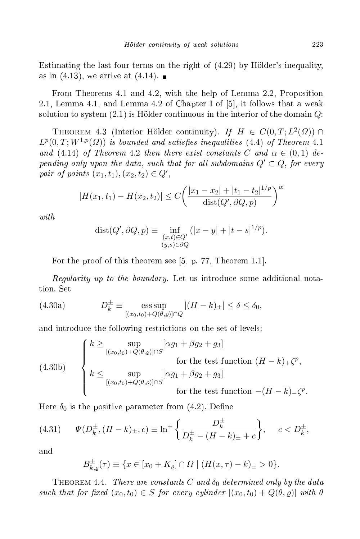Estimating the last four terms on the right of (4.29) by Hölder's inequality, as in (4.13), we arrive at (4.14).  $\blacksquare$ 

From Theorems 4.1 and 4.2, with the help of Lemma 2.2, Proposition 2.1, Lemma 4.1, and Lemma 4.2 of Chapter I of  $[5]$ , it follows that a weak solution to system  $(2.1)$  is Hölder continuous in the interior of the domain  $Q$ :

THEOREM 4.3 (Interior Hölder continuity). If  $H \in C(0,T; L^2(\Omega))$  $L^p(0,T;W^{1,p}(\varOmega))$  is bounded and satisfies inequalities (4.4) of Theorem 4.1 and (4.14) of Theorem 4.2 then there exist constants C and  $\alpha \in (0,1)$  depending only upon the data, such that for all subdomains  $Q' \subset Q$ , for every pair of points  $(x_1, t_1), (x_2, t_2) \in Q'$ ,

$$
|H(x_1, t_1) - H(x_2, t_2)| \le C \left( \frac{|x_1 - x_2| + |t_1 - t_2|^{1/p}}{\text{dist}(Q', \partial Q, p)} \right)^{\alpha}
$$

 $with$ 

$$
dist(Q', \partial Q, p) \equiv \inf_{\substack{(x,t) \in Q'\\(y,s) \in \partial Q}} (|x - y| + |t - s|^{1/p}).
$$

For the proof of this theorem see  $[5, p. 77,$  Theorem 1.1.

Regularity up to the boundary. Let us introdu
e some additional nota-

(4.30a) 
$$
D_k^{\pm} \equiv \underset{[(x_0, t_0) + Q(\theta, \varrho)] \cap Q}{\text{ess sup}} |(H - k)_{\pm}| \le \delta \le \delta_0,
$$

and introdu
e the following restri
tions on the set of levels:

(4.30b)  

$$
\begin{cases}\nk \geq \sup_{[(x_0, t_0) + Q(\theta, \varrho)] \cap S} [\alpha g_1 + \beta g_2 + g_3] \\
\text{for the test function } (H - k)_+ \zeta^p, \\
k \leq \sup_{[(x_0, t_0) + Q(\theta, \varrho)] \cap S} [\alpha g_1 + \beta g_2 + g_3] \\
\text{for the test function } -(H - k)_- \zeta^p.\n\end{cases}
$$

Here  $\delta_0$  is the positive parameter from (4.2). Define

(4.31) 
$$
\Psi(D_k^{\pm}, (H-k)_{\pm}, c) \equiv \ln^+ \left\{ \frac{D_k^{\pm}}{D_k^{\pm} - (H-k)_{\pm} + c} \right\}, \quad c < D_k^{\pm},
$$

and

$$
B_{k,\varrho}^{\pm}(\tau) \equiv \{ x \in [x_0 + K_{\varrho}] \cap \Omega \mid (H(x,\tau) - k)_{\pm} > 0 \}.
$$

THEOREM 4.4. There are constants C and  $\delta_0$  determined only by the data such that for fixed  $(x_0, t_0) \in S$  for every cylinder  $[(x_0, t_0) + Q(\theta, \varrho)]$  with  $\theta$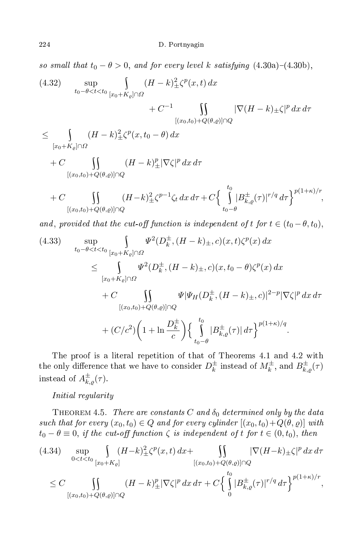so small that  $t_0 - \theta > 0$ , and for every level k satisfying  $(4.30a)-(4.30b)$ ,

(4.32) 
$$
\sup_{t_0 - \theta < t < t_0} \int_{[x_0 + K_\varrho] \cap \Omega} (H - k)_\pm^2 \zeta^p(x, t) \, dx + C^{-1} \int_{[(x_0, t_0) + Q(\theta, \varrho)] \cap Q} |\nabla (H - k)_\pm \zeta|^p \, dx \, d\tau
$$

$$
\leq \int_{[x_0+K_{\varrho}]\cap\Omega} (H-k)_{\pm}^2 \zeta^p(x,t_0-\theta) dx
$$

$$
+ C \iiint\limits_{[(x_0,t_0)+Q(\theta,\varrho)]\cap Q} (H-k)_\pm^p |\nabla \zeta|^p \, dx \, d\tau
$$

$$
+ C \iint\limits_{[(x_0,t_0)+Q(\theta,\varrho)]\cap Q} (H-k)_{\pm}^2 \zeta^{p-1} \zeta_t \, dx \, d\tau + C \Big\{ \int\limits_{t_0-\theta}^{t_0} |B_{k,\varrho}^{\pm}(\tau)|^{r/q} \, d\tau \Big\}^{p(1+\kappa)/r},
$$

and, provided that the cut-off function is independent of t for  $t \in (t_0 - \theta, t_0)$ ,

(4.33) 
$$
\sup_{t_0 - \theta < t < t_0} \int_{[x_0 + K_\varrho] \cap \Omega} \Psi^2(D_k^{\pm}, (H - k)_{\pm}, c)(x, t) \zeta^p(x) dx
$$
  
\n
$$
\leq \int_{[x_0 + K_\varrho] \cap \Omega} \Psi^2(D_k^{\pm}, (H - k)_{\pm}, c)(x, t_0 - \theta) \zeta^p(x) dx
$$
  
\n
$$
+ C \int_{[(x_0, t_0) + Q(\theta, \varrho)] \cap Q} \Psi|\Psi_H(D_k^{\pm}, (H - k)_{\pm}, c)|^{2-p} |\nabla \zeta|^p dx d\tau
$$
  
\n
$$
+ (C/c^2) \left(1 + \ln \frac{D_k^{\pm}}{c}\right) \left\{\int_{t_0 - \theta}^{t_0} |B_{k, \varrho}^{\pm}(\tau)| d\tau\right\}^{p(1 + \kappa)/q}.
$$

The proof is a literal repetition of that of Theorems 4.1 and 4.2 with the only difference that we have to consider  $D_k^\pm$  $\frac{1}{k}$  instead of  $M_k^{\pm}$ , and  $B_{k,\varrho}^{\pm}(\tau)$ instead of  $A_{k,\varrho}^{\pm}(\tau)$ .

### Initial regularity

THEOREM 4.5. There are constants C and  $\delta_0$  determined only by the data such that for every  $(x_0, t_0) \in Q$  and for every cylinder  $[(x_0, t_0)+Q(\theta, \varrho)]$  with  $t_0 - \theta \equiv 0$ , if the cut-off function  $\zeta$  is independent of t for  $t \in (0, t_0)$ , then

$$
(4.34) \quad \sup_{0 < t < t_0} \int_{[x_0 + K_{\varrho}]} (H - k)_{\pm}^2 \zeta^p(x, t) \, dx + \iint_{[(x_0, t_0) + Q(\theta, \varrho)] \cap Q} |\nabla (H - k)_{\pm} \zeta|^p \, dx \, d\tau
$$
  

$$
\leq C \iint_{[(x_0, t_0) + Q(\theta, \varrho)] \cap Q} (H - k)_{\pm}^p |\nabla \zeta|^p \, dx \, d\tau + C \left\{ \int_0^{t_0} |B_{k, \varrho}^{\pm}(\tau)|^{r/q} \, d\tau \right\}^{p(1 + \kappa)/r},
$$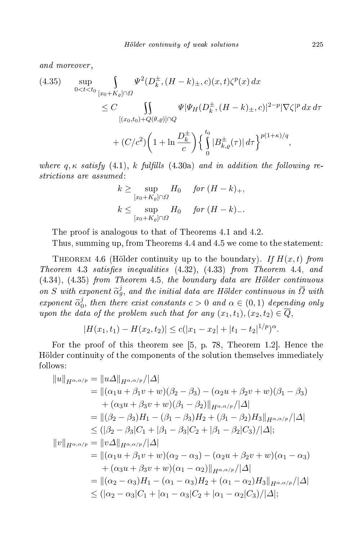(4.35) 
$$
\sup_{0 < t < t_0} \int_{[x_0 + K_{\varrho}] \cap \Omega} \Psi^2(D_k^{\pm}, (H - k)_{\pm}, c)(x, t) \zeta^p(x) dx
$$
  
\n
$$
\leq C \int_{[(x_0, t_0) + Q(\theta, \varrho)] \cap Q} \Psi|\Psi_H(D_k^{\pm}, (H - k)_{\pm}, c)|^{2-p} |\nabla \zeta|^p dx d\tau
$$
  
\n
$$
+ (C/c^2) \left(1 + \ln \frac{D_k^{\pm}}{c}\right) \left\{\int_{0}^{t_0} |B_{k, \varrho}^{\pm}(\tau)| d\tau\right\}^{p(1 + \kappa)/q},
$$

where  $q, \kappa$  satisfy  $(4.1), k$  fulfills  $(4.30a)$  and in addition the following restrictions are assumed:

$$
k \ge \sup_{[x_0 + K_{\varrho}] \cap \varOmega} H_0 \quad \text{for } (H - k)_+,
$$
  

$$
k \le \sup_{[x_0 + K_{\varrho}] \cap \varOmega} H_0 \quad \text{for } (H - k)_-.
$$

The proof is analogous to that of Theorems 4.1 and 4.2.

Thus, summing up, from Theorems 4.4 and 4.5 we come to the statement:

THEOREM 4.6 (Hölder continuity up to the boundary). If  $H(x,t)$  from Theorem 4.3 satises inequalities (4.32), (4.33) from Theorem 4.4, and  $(4.34)$ ,  $(4.35)$  from Theorem 4.5, the boundary data are Hölder continuous on S with exponent  $\tilde{\alpha}_g^j$ , and the initial data are Hölder continuous in  $\overline{\Omega}$  with  $exponent \ \widetilde{\alpha}_0^j$  $\stackrel{\jmath_0}{\scriptstyle\rm 0},$  then there exist constants  $c>0$  and  $\alpha\in(0,1)$  depending only upon the data of the problem such that for any  $(x_1, t_1), (x_2, t_2) \in Q$ ,

$$
|H(x_1,t_1)-H(x_2,t_2)|\leq c(|x_1-x_2|+|t_1-t_2|^{1/p})^{\alpha}.
$$

For the proof of this theorem see  $[5, p. 78,$  Theorem 1.2. Hence the Hölder ontinuity of the omponents of the solution themselves immediately follows:

$$
||u||_{H^{\alpha,\alpha/p}} = ||u\Delta||_{H^{\alpha,\alpha/p}}/|\Delta|
$$
  
\n
$$
= ||(\alpha_1 u + \beta_1 v + w)(\beta_2 - \beta_3) - (\alpha_2 u + \beta_2 v + w)(\beta_1 - \beta_3)
$$
  
\n
$$
+ (\alpha_3 u + \beta_3 v + w)(\beta_1 - \beta_2)||_{H^{\alpha,\alpha/p}}/|\Delta|
$$
  
\n
$$
= ||(\beta_2 - \beta_3)H_1 - (\beta_1 - \beta_3)H_2 + (\beta_1 - \beta_2)H_3||_{H^{\alpha,\alpha/p}}/|\Delta|
$$
  
\n
$$
\leq (|\beta_2 - \beta_3|C_1 + |\beta_1 - \beta_3|C_2 + |\beta_1 - \beta_2|C_3)/|\Delta|;
$$
  
\n
$$
||v||_{H^{\alpha,\alpha/p}} = ||v\Delta||_{H^{\alpha,\alpha/p}}/|\Delta|
$$
  
\n
$$
= ||(\alpha_1 u + \beta_1 v + w)(\alpha_2 - \alpha_3) - (\alpha_2 u + \beta_2 v + w)(\alpha_1 - \alpha_3)
$$
  
\n
$$
+ (\alpha_3 u + \beta_3 v + w)(\alpha_1 - \alpha_2)||_{H^{\alpha,\alpha/p}}/|\Delta|
$$
  
\n
$$
= ||(\alpha_2 - \alpha_3)H_1 - (\alpha_1 - \alpha_3)H_2 + (\alpha_1 - \alpha_2)H_3||_{H^{\alpha,\alpha/p}}/|\Delta|
$$
  
\n
$$
\leq (|\alpha_2 - \alpha_3|C_1 + |\alpha_1 - \alpha_3|C_2 + |\alpha_1 - \alpha_2|C_3)/|\Delta|;
$$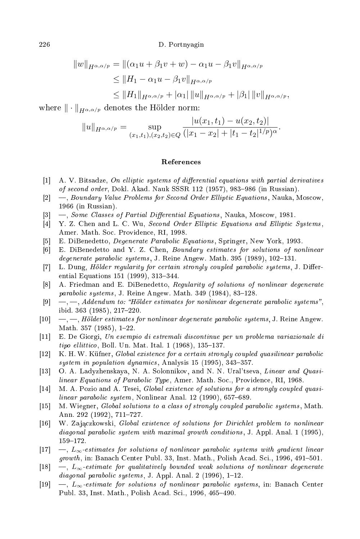$$
||w||_{H^{\alpha,\alpha/p}} = ||(\alpha_1 u + \beta_1 v + w) - \alpha_1 u - \beta_1 v||_{H^{\alpha,\alpha/p}}
$$
  
\n
$$
\leq ||H_1 - \alpha_1 u - \beta_1 v||_{H^{\alpha,\alpha/p}}
$$
  
\n
$$
\leq ||H_1||_{H^{\alpha,\alpha/p}} + |\alpha_1| ||u||_{H^{\alpha,\alpha/p}} + |\beta_1| ||v||_{H^{\alpha,\alpha/p}},
$$

where  $\|\cdot\|_{H^{\alpha,\alpha/p}}$  denotes the Hölder norm:

$$
||u||_{H^{\alpha,\alpha/p}} = \sup_{(x_1,t_1),(x_2,t_2)\in Q} \frac{|u(x_1,t_1) - u(x_2,t_2)|}{(|x_1 - x_2| + |t_1 - t_2|^{1/p})^{\alpha}}.
$$

#### **References**

- [1] A. V. Bitsadze, On elliptic systems of differential equations with partial derivatives of second order, Dokl. Akad. Nauk SSSR 112 (1957), 983–986 (in Russian).
- [2]  $-$ , Boundary Value Problems for Second Order Elliptic Equations, Nauka, Moscow, 1966 (in Russian).
- $[3] \quad$ —, Some Classes of Partial Differential Equations, Nauka, Moscow, 1981.
- $[4]$  Y. Z. Chen and L. C. Wu, *Second Order Elliptic Equations and Elliptic Systems*, Amer. Math. So
. Providen
e, RI, 1998.
- [5] E. DiBenedetto, *Degenerate Parabolic Equations*, Springer, New York, 1993.
- [6] E. DiBenedetto and Y. Z. Chen, Boundary estimates for solutions of nonlinear degenerate parabolic systems, J. Reine Angew. Math. 395 (1989), 102-131.
- [7] L. Dung, *Hölder regularity for certain strongly coupled parabolic systems*, J. Differential Equations 151 (1999), 313-344.
- [8] A. Friedman and E. DiBenedetto, Regularity of solutions of nonlinear degenerate parabolic systems, J. Reine Angew. Math. 349 (1984), 83-128.
- $[9] \quad -,-$ , Addendum to: "Hölder estimates for nonlinear degenerate parabolic systems", ibid.  $363$   $(1985)$ ,  $217-220$ .
- $[10 \quad -,-$ , Hölder estimates for nonlinear degenerate parabolic systems, J. Reine Angew. Math. 357 (1985),  $1-22$ .
- [11] E. De Giorgi, Un esempio di estremali discontinue per un problema variazionale di  $*ellittico*, Boll. Un. Mat. Ital. 1 (1968), 135–137.$
- [12] K. H. W. Küfner, *Global existence for a certain strongly coupled quasilinear parabolic* system in population dynamics, Analysis  $15$  (1995), 343-357.
- [13] O. A. Ladyzhenskaya, N. A. Solonnikov, and N. N. Ural'tseva, Linear and Quasilinear Equations of Parabolic Type, Amer. Math. Soc., Providence, RI, 1968.
- [14] M. A. Pozio and A. Tesei, *Global existence of solutions for a strongly coupled quasi*linear parabolic system, Nonlinear Anal. 12 (1990), 657–689.
- [15] M. Wiegner, Global solutions to a class of strongly coupled parabolic systems, Math. Ann. 292 (1992), 711-727.
- [16] W. Zajaczkowski, Global existence of solutions for Dirichlet problem to nonlinear diagonal parabolic system with maximal growth conditions, J. Appl. Anal. 1 (1995), 159-172.
- $[17 \quad , L_{\infty}$  estimates for solutions of nonlinear parabolic systems with gradient linear growth, in: Banach Center Publ. 33, Inst. Math., Polish Acad. Sci., 1996, 491–501.
- $[18] \quad -$ ,  $L_{\infty}$ -estimate for qualitatively bounded weak solutions of nonlinear degenerate  $diagonal\ parabolic\ systems, J. Appl. Anal. 2 (1996), 1–12.$
- [19]  $\ldots$ ,  $L_{\infty}$ -estimate for solutions of nonlinear parabolic systems, in: Banach Center Publ. 33, Inst. Math., Polish Acad. Sci., 1996, 465-490.